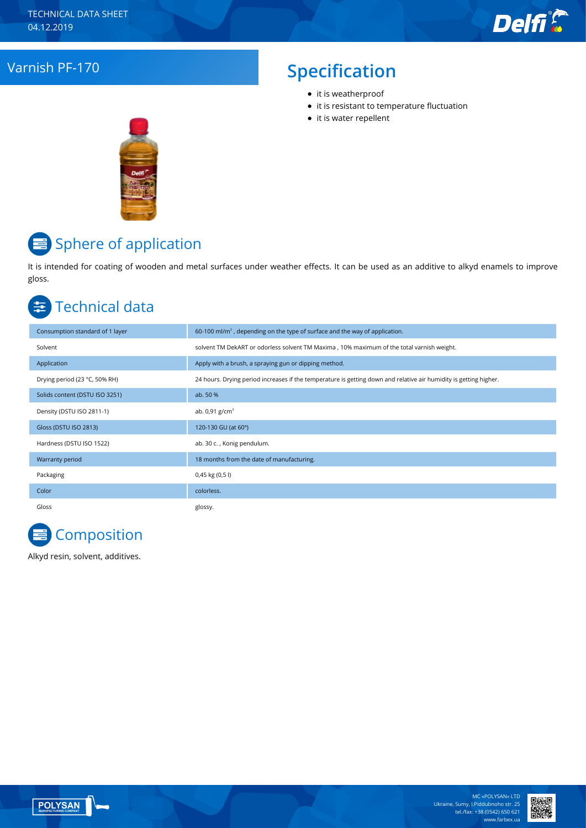

# Varnish PF-170 **Specification**

- it is weatherproof
- it is resistant to temperature fluctuation
- it is water repellent



# $\equiv$  Sphere of application

It is intended for coating of wooden and metal surfaces under weather effects. It can be used as an additive to alkyd enamels to improve gloss.

#### Technical data 亖

| Consumption standard of 1 layer | 60-100 ml/m <sup>2</sup> , depending on the type of surface and the way of application.                           |
|---------------------------------|-------------------------------------------------------------------------------------------------------------------|
| Solvent                         | solvent TM DekART or odorless solvent TM Maxima, 10% maximum of the total varnish weight.                         |
| Application                     | Apply with a brush, a spraying gun or dipping method.                                                             |
| Drying period (23 °C, 50% RH)   | 24 hours. Drying period increases if the temperature is getting down and relative air humidity is getting higher. |
| Solids content (DSTU ISO 3251)  | ab. 50 %                                                                                                          |
| Density (DSTU ISO 2811-1)       | ab. $0.91$ g/cm <sup>3</sup>                                                                                      |
| Gloss (DSTU ISO 2813)           | 120-130 GU (at 60°)                                                                                               |
| Hardness (DSTU ISO 1522)        | ab. 30 c., Konig pendulum.                                                                                        |
| Warranty period                 | 18 months from the date of manufacturing.                                                                         |
| Packaging                       | $0,45$ kg $(0,5)$                                                                                                 |
| Color                           | colorless.                                                                                                        |
| Gloss                           | glossy.                                                                                                           |



Alkyd resin, solvent, additives.